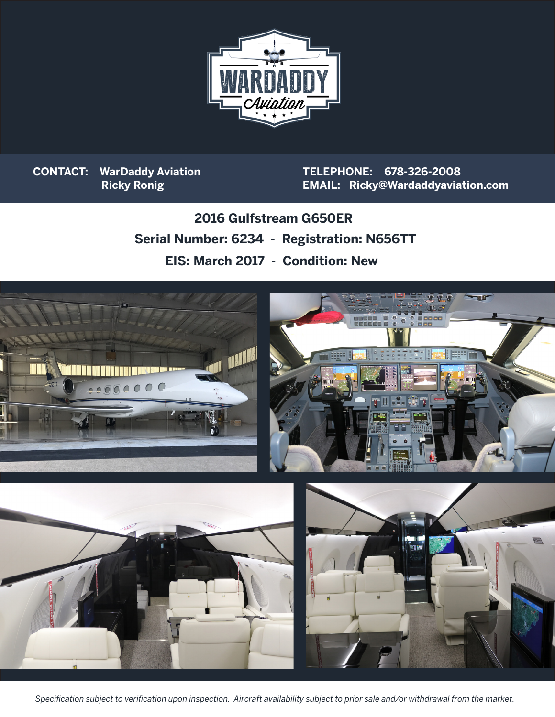

**CONTACT: WarDaddy Aviation Ricky Ronig**

**TELEPHONE: 678-326-2008 EMAIL: Ricky@Wardaddyaviation.com**

**Serial Number: 6234 - Registration: N656TT 2016 Gulfstream G650ER EIS: March 2017 - Condition: New**



*Specification subject to verification upon inspection. Aircraft availability subject to prior sale and/or withdrawal from the market.*